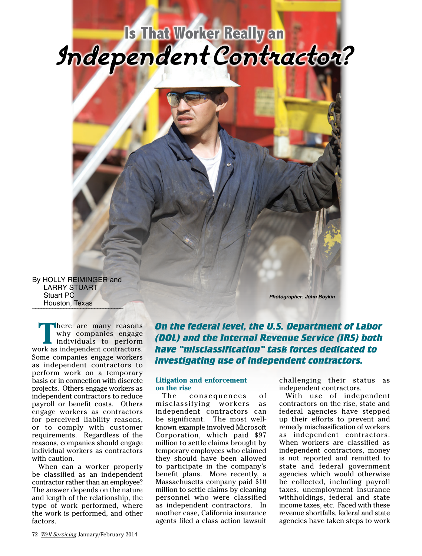# **Is That Worker Really an Independent Contractor?**



By HOLLY REIMINGER and LARRY STUART Stuart PC Houston, Texas

**There are many reasons**<br>
why companies engage<br>
individuals to perform<br>
ark as independent contractors why companies engage work as independent contractors. Some companies engage workers as independent contractors to perform work on a temporary basis or in connection with discrete projects. Others engage workers as independent contractors to reduce payroll or benefit costs. Others engage workers as contractors for perceived liability reasons, or to comply with customer requirements. Regardless of the reasons, companies should engage individual workers as contractors with caution.

When can a worker properly be classified as an independent contractor rather than an employee? The answer depends on the nature and length of the relationship, the type of work performed, where the work is performed, and other factors.

*On the federal level, the U.S. Department of Labor (DOL) and the Internal Revenue Service (IRS) both have "misclassification" task forces dedicated to investigating use of independent contractors.* 

*Photographer: John Boykin*

#### **Litigation and enforcement on the rise**

The consequences of misclassifying workers as independent contractors can be significant. The most wellknown example involved Microsoft Corporation, which paid \$97 million to settle claims brought by temporary employees who claimed they should have been allowed to participate in the company's benefit plans. More recently, a Massachusetts company paid \$10 million to settle claims by cleaning personnel who were classified as independent contractors. In another case, California insurance agents filed a class action lawsuit

challenging their status as independent contractors.

With use of independent contractors on the rise, state and federal agencies have stepped up their efforts to prevent and remedy misclassification of workers as independent contractors. When workers are classified as independent contractors, money is not reported and remitted to state and federal government agencies which would otherwise be collected, including payroll taxes, unemployment insurance withholdings, federal and state income taxes, etc. Faced with these revenue shortfalls, federal and state agencies have taken steps to work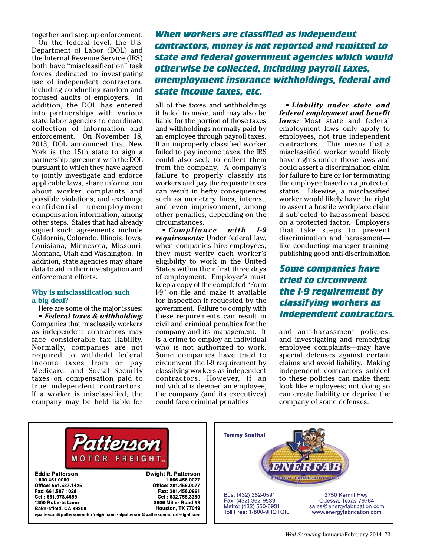together and step up enforcement.

On the federal level, the U.S. Department of Labor (DOL) and the Internal Revenue Service (IRS) both have "misclassification" task forces dedicated to investigating use of independent contractors, including conducting random and focused audits of employers. In addition, the DOL has entered into partnerships with various state labor agencies to coordinate collection of information and enforcement. On November 18, 2013, DOL announced that New York is the 15th state to sign a partnership agreement with the DOL pursuant to which they have agreed to jointly investigate and enforce applicable laws, share information about worker complaints and possible violations, and exchange confidential unemployment compensation information, among other steps. States that had already signed such agreements include California, Colorado, Illinois, Iowa, Louisiana, Minnesota, Missouri, Montana, Utah and Washington. In addition, state agencies may share data to aid in their investigation and enforcement efforts.

#### **Why is misclassification such a big deal?**

Here are some of the major issues: *• Federal taxes & withholding:* Companies that misclassify workers as independent contractors may face considerable tax liability. Normally, companies are not required to withhold federal income taxes from or pay Medicare, and Social Security taxes on compensation paid to true independent contractors. If a worker is misclassified, the company may be held liable for

*When workers are classified as independent contractors, money is not reported and remitted to state and federal government agencies which would otherwise be collected, including payroll taxes, unemployment insurance withholdings, federal and state income taxes, etc.*

all of the taxes and withholdings it failed to make, and may also be liable for the portion of those taxes and withholdings normally paid by an employee through payroll taxes. If an improperly classified worker failed to pay income taxes, the IRS could also seek to collect them from the company. A company's failure to properly classify its workers and pay the requisite taxes can result in hefty consequences such as monetary fines, interest, and even imprisonment, among other penalties, depending on the circumstances.

• *Compliance with I-9 requirements:* Under federal law, when companies hire employees, they must verify each worker's eligibility to work in the United States within their first three days of employment. Employer's must keep a copy of the completed "Form I-9" on file and make it available for inspection if requested by the government. Failure to comply with these requirements can result in civil and criminal penalties for the company and its management. It is a crime to employ an individual who is not authorized to work. Some companies have tried to circumvent the I-9 requirement by classifying workers as independent contractors. However, if an individual is deemed an employee, the company (and its executives) could face criminal penalties.

• *Liability under state and federal employment and benefit laws:* Most state and federal employment laws only apply to employees, not true independent contractors. This means that a misclassified worker would likely have rights under those laws and could assert a discrimination claim for failure to hire or for terminating the employee based on a protected status. Likewise, a misclassified worker would likely have the right to assert a hostile workplace claim if subjected to harassment based on a protected factor. Employers that take steps to prevent discrimination and harassment like conducting manager training, publishing good anti-discrimination

## *Some companies have tried to circumvent the I-9 requirement by classifying workers as independent contractors.*

and anti-harassment policies, and investigating and remedying employee complaints—may have special defenses against certain claims and avoid liability. Making independent contractors subject to these policies can make them look like employees; not doing so can create liability or deprive the company of some defenses.



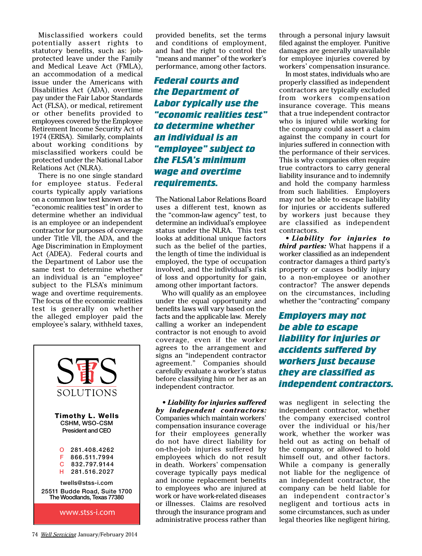Misclassified workers could potentially assert rights to statutory benefits, such as: jobprotected leave under the Family and Medical Leave Act (FMLA), an accommodation of a medical issue under the Americans with Disabilities Act (ADA), overtime pay under the Fair Labor Standards Act (FLSA), or medical, retirement or other benefits provided to employees covered by the Employee Retirement Income Security Act of 1974 (ERISA). Similarly, complaints about working conditions by misclassified workers could be protected under the National Labor Relations Act (NLRA).

There is no one single standard for employee status. Federal courts typically apply variations on a common law test known as the "economic realities test" in order to determine whether an individual is an employee or an independent contractor for purposes of coverage under Title VII, the ADA, and the Age Discrimination in Employment Act (ADEA). Federal courts and the Department of Labor use the same test to determine whether an individual is an "employee" subject to the FLSA's minimum wage and overtime requirements. The focus of the economic realities test is generally on whether the alleged employer paid the employee's salary, withheld taxes,



provided benefits, set the terms and conditions of employment, and had the right to control the "means and manner" of the worker's performance, among other factors.

# *Federal courts and the Department of Labor typically use the "economic realities test" to determine whether an individual is an "employee" subject to the FLSA's minimum wage and overtime requirements.*

The National Labor Relations Board uses a different test, known as the "common-law agency" test, to determine an individual's employee status under the NLRA. This test looks at additional unique factors such as the belief of the parties, the length of time the individual is employed, the type of occupation involved, and the individual's risk of loss and opportunity for gain, among other important factors.

Who will qualify as an employee under the equal opportunity and benefits laws will vary based on the facts and the applicable law. Merely calling a worker an independent contractor is not enough to avoid coverage, even if the worker agrees to the arrangement and signs an "independent contractor agreement." Companies should carefully evaluate a worker's status before classifying him or her as an independent contractor.

*• Liability for injuries suffered by independent contractors:*  Companies which maintain workers' compensation insurance coverage for their employees generally do not have direct liability for on-the-job injuries suffered by employees which do not result in death. Workers' compensation coverage typically pays medical and income replacement benefits to employees who are injured at work or have work-related diseases or illnesses. Claims are resolved through the insurance program and administrative process rather than

through a personal injury lawsuit filed against the employer. Punitive damages are generally unavailable for employee injuries covered by workers' compensation insurance.

In most states, individuals who are properly classified as independent contractors are typically excluded from workers compensation insurance coverage. This means that a true independent contractor who is injured while working for the company could assert a claim against the company in court for injuries suffered in connection with the performance of their services. This is why companies often require true contractors to carry general liability insurance and to indemnify and hold the company harmless from such liabilities. Employers may not be able to escape liability for injuries or accidents suffered by workers just because they are classified as independent contractors.

• *Liability for injuries to third parties:* What happens if a worker classified as an independent contractor damages a third party's property or causes bodily injury to a non-employee or another contractor? The answer depends on the circumstances, including whether the "contracting" company

*Employers may not be able to escape liability for injuries or accidents suffered by workers just because they are classified as independent contractors.* 

was negligent in selecting the independent contractor, whether the company exercised control over the individual or his/her work, whether the worker was held out as acting on behalf of the company, or allowed to hold himself out, and other factors. While a company is generally not liable for the negligence of an independent contractor, the company can be held liable for an independent contractor's negligent and tortious acts in some circumstances, such as under legal theories like negligent hiring,